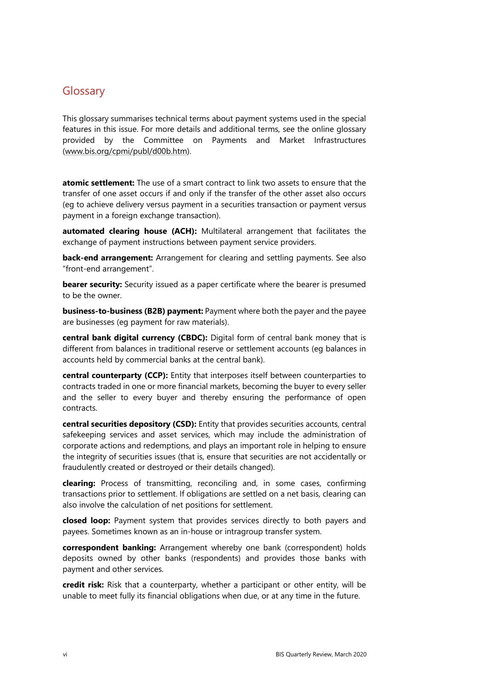## **Glossary**

This glossary summarises technical terms about payment systems used in the special features in this issue. For more details and additional terms, see the online glossary provided by the Committee on Payments and Market Infrastructures (www.bis.org/cpmi/publ/d00b.htm).

**atomic settlement:** The use of a smart contract to link two assets to ensure that the transfer of one asset occurs if and only if the transfer of the other asset also occurs (eg to achieve delivery versus payment in a securities transaction or payment versus payment in a foreign exchange transaction).

**automated clearing house (ACH):** Multilateral arrangement that facilitates the exchange of payment instructions between payment service providers.

**back-end arrangement:** Arrangement for clearing and settling payments. See also "front-end arrangement".

**bearer security:** Security issued as a paper certificate where the bearer is presumed to be the owner.

**business-to-business (B2B) payment:** Payment where both the payer and the payee are businesses (eg payment for raw materials).

**central bank digital currency (CBDC):** Digital form of central bank money that is different from balances in traditional reserve or settlement accounts (eg balances in accounts held by commercial banks at the central bank).

**central counterparty (CCP):** Entity that interposes itself between counterparties to contracts traded in one or more financial markets, becoming the buyer to every seller and the seller to every buyer and thereby ensuring the performance of open contracts.

**central securities depository (CSD):** Entity that provides securities accounts, central safekeeping services and asset services, which may include the administration of corporate actions and redemptions, and plays an important role in helping to ensure the integrity of securities issues (that is, ensure that securities are not accidentally or fraudulently created or destroyed or their details changed).

**clearing:** Process of transmitting, reconciling and, in some cases, confirming transactions prior to settlement. If obligations are settled on a net basis, clearing can also involve the calculation of net positions for settlement.

**closed loop:** Payment system that provides services directly to both payers and payees. Sometimes known as an in-house or intragroup transfer system.

**correspondent banking:** Arrangement whereby one bank (correspondent) holds deposits owned by other banks (respondents) and provides those banks with payment and other services.

**credit risk:** Risk that a counterparty, whether a participant or other entity, will be unable to meet fully its financial obligations when due, or at any time in the future.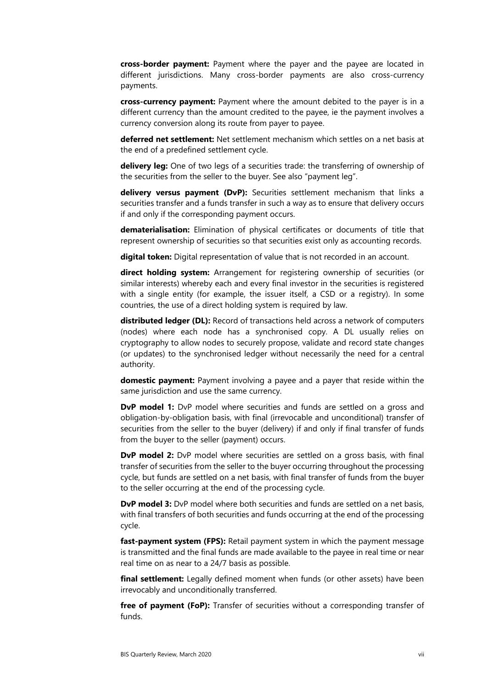**cross-border payment:** Payment where the payer and the payee are located in different jurisdictions. Many cross-border payments are also cross-currency payments.

**cross-currency payment:** Payment where the amount debited to the payer is in a different currency than the amount credited to the payee, ie the payment involves a currency conversion along its route from payer to payee.

**deferred net settlement:** Net settlement mechanism which settles on a net basis at the end of a predefined settlement cycle.

**delivery leg:** One of two legs of a securities trade: the transferring of ownership of the securities from the seller to the buyer. See also "payment leg".

**delivery versus payment (DvP):** Securities settlement mechanism that links a securities transfer and a funds transfer in such a way as to ensure that delivery occurs if and only if the corresponding payment occurs.

**dematerialisation:** Elimination of physical certificates or documents of title that represent ownership of securities so that securities exist only as accounting records.

**digital token:** Digital representation of value that is not recorded in an account.

**direct holding system:** Arrangement for registering ownership of securities (or similar interests) whereby each and every final investor in the securities is registered with a single entity (for example, the issuer itself, a CSD or a registry). In some countries, the use of a direct holding system is required by law.

**distributed ledger (DL):** Record of transactions held across a network of computers (nodes) where each node has a synchronised copy. A DL usually relies on cryptography to allow nodes to securely propose, validate and record state changes (or updates) to the synchronised ledger without necessarily the need for a central authority.

**domestic payment:** Payment involving a payee and a payer that reside within the same jurisdiction and use the same currency.

**DvP model 1:** DvP model where securities and funds are settled on a gross and obligation-by-obligation basis, with final (irrevocable and unconditional) transfer of securities from the seller to the buyer (delivery) if and only if final transfer of funds from the buyer to the seller (payment) occurs.

**DvP model 2:** DvP model where securities are settled on a gross basis, with final transfer of securities from the seller to the buyer occurring throughout the processing cycle, but funds are settled on a net basis, with final transfer of funds from the buyer to the seller occurring at the end of the processing cycle.

**DvP model 3:** DvP model where both securities and funds are settled on a net basis, with final transfers of both securities and funds occurring at the end of the processing cycle.

**fast-payment system (FPS):** Retail payment system in which the payment message is transmitted and the final funds are made available to the payee in real time or near real time on as near to a 24/7 basis as possible.

**final settlement:** Legally defined moment when funds (or other assets) have been irrevocably and unconditionally transferred.

**free of payment (FoP):** Transfer of securities without a corresponding transfer of funds.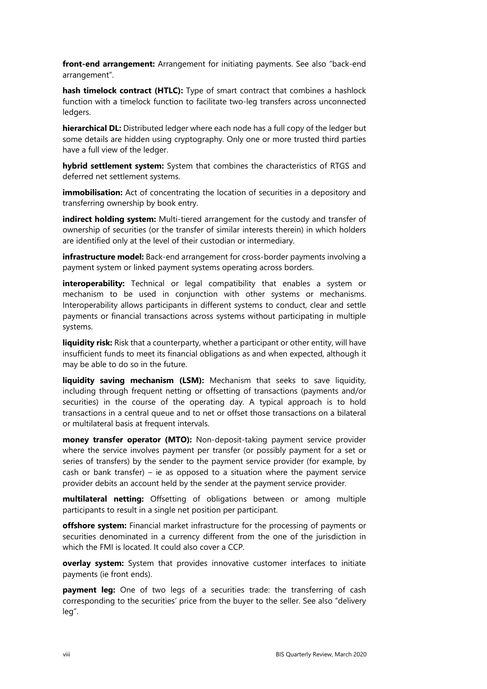**front-end arrangement:** Arrangement for initiating payments. See also "back-end arrangement".

**hash timelock contract (HTLC):** Type of smart contract that combines a hashlock function with a timelock function to facilitate two-leg transfers across unconnected ledgers.

**hierarchical DL:** Distributed ledger where each node has a full copy of the ledger but some details are hidden using cryptography. Only one or more trusted third parties have a full view of the ledger.

**hybrid settlement system:** System that combines the characteristics of RTGS and deferred net settlement systems.

**immobilisation:** Act of concentrating the location of securities in a depository and transferring ownership by book entry.

**indirect holding system:** Multi-tiered arrangement for the custody and transfer of ownership of securities (or the transfer of similar interests therein) in which holders are identified only at the level of their custodian or intermediary.

**infrastructure model:** Back-end arrangement for cross-border payments involving a payment system or linked payment systems operating across borders.

**interoperability:** Technical or legal compatibility that enables a system or mechanism to be used in conjunction with other systems or mechanisms. Interoperability allows participants in different systems to conduct, clear and settle payments or financial transactions across systems without participating in multiple systems.

**liquidity risk:** Risk that a counterparty, whether a participant or other entity, will have insufficient funds to meet its financial obligations as and when expected, although it may be able to do so in the future.

**liquidity saving mechanism (LSM):** Mechanism that seeks to save liquidity, including through frequent netting or offsetting of transactions (payments and/or securities) in the course of the operating day. A typical approach is to hold transactions in a central queue and to net or offset those transactions on a bilateral or multilateral basis at frequent intervals.

**money transfer operator (MTO):** Non-deposit-taking payment service provider where the service involves payment per transfer (or possibly payment for a set or series of transfers) by the sender to the payment service provider (for example, by cash or bank transfer) – ie as opposed to a situation where the payment service provider debits an account held by the sender at the payment service provider.

**multilateral netting:** Offsetting of obligations between or among multiple participants to result in a single net position per participant.

**offshore system:** Financial market infrastructure for the processing of payments or securities denominated in a currency different from the one of the jurisdiction in which the FMI is located. It could also cover a CCP.

**overlay system:** System that provides innovative customer interfaces to initiate payments (ie front ends).

**payment leg:** One of two legs of a securities trade: the transferring of cash corresponding to the securities' price from the buyer to the seller. See also "delivery leg".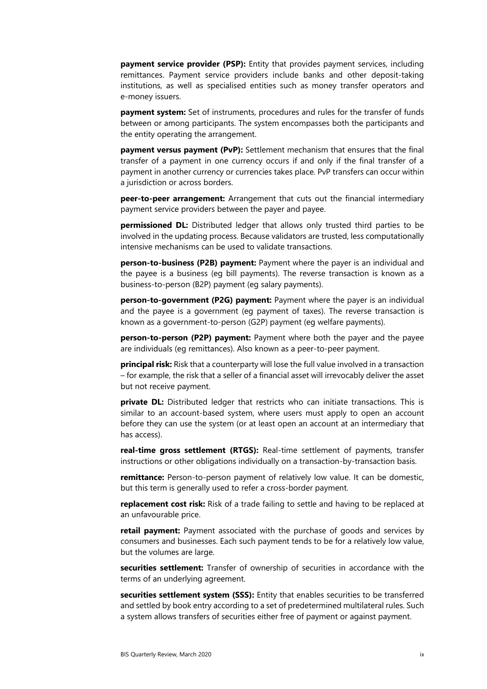**payment service provider (PSP):** Entity that provides payment services, including remittances. Payment service providers include banks and other deposit-taking institutions, as well as specialised entities such as money transfer operators and e-money issuers.

**payment system:** Set of instruments, procedures and rules for the transfer of funds between or among participants. The system encompasses both the participants and the entity operating the arrangement.

**payment versus payment (PvP):** Settlement mechanism that ensures that the final transfer of a payment in one currency occurs if and only if the final transfer of a payment in another currency or currencies takes place. PvP transfers can occur within a jurisdiction or across borders.

**peer-to-peer arrangement:** Arrangement that cuts out the financial intermediary payment service providers between the payer and payee.

**permissioned DL:** Distributed ledger that allows only trusted third parties to be involved in the updating process. Because validators are trusted, less computationally intensive mechanisms can be used to validate transactions.

**person-to-business (P2B) payment:** Payment where the payer is an individual and the payee is a business (eg bill payments). The reverse transaction is known as a business-to-person (B2P) payment (eg salary payments).

**person-to-government (P2G) payment:** Payment where the payer is an individual and the payee is a government (eg payment of taxes). The reverse transaction is known as a government-to-person (G2P) payment (eg welfare payments).

**person-to-person (P2P) payment:** Payment where both the payer and the payee are individuals (eg remittances). Also known as a peer-to-peer payment.

**principal risk:** Risk that a counterparty will lose the full value involved in a transaction – for example, the risk that a seller of a financial asset will irrevocably deliver the asset but not receive payment.

**private DL:** Distributed ledger that restricts who can initiate transactions. This is similar to an account-based system, where users must apply to open an account before they can use the system (or at least open an account at an intermediary that has access).

**real-time gross settlement (RTGS):** Real-time settlement of payments, transfer instructions or other obligations individually on a transaction-by-transaction basis.

**remittance:** Person-to-person payment of relatively low value. It can be domestic, but this term is generally used to refer a cross-border payment.

**replacement cost risk:** Risk of a trade failing to settle and having to be replaced at an unfavourable price.

**retail payment:** Payment associated with the purchase of goods and services by consumers and businesses. Each such payment tends to be for a relatively low value, but the volumes are large.

**securities settlement:** Transfer of ownership of securities in accordance with the terms of an underlying agreement.

**securities settlement system (SSS):** Entity that enables securities to be transferred and settled by book entry according to a set of predetermined multilateral rules. Such a system allows transfers of securities either free of payment or against payment.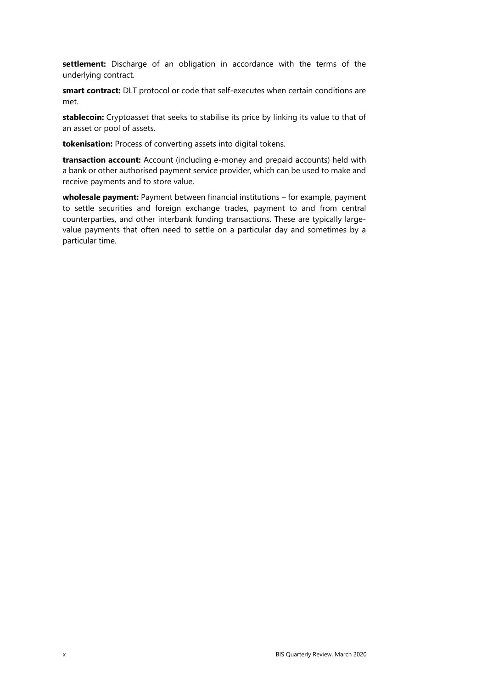**settlement:** Discharge of an obligation in accordance with the terms of the underlying contract.

**smart contract:** DLT protocol or code that self-executes when certain conditions are met.

**stablecoin:** Cryptoasset that seeks to stabilise its price by linking its value to that of an asset or pool of assets.

**tokenisation:** Process of converting assets into digital tokens.

**transaction account:** Account (including e-money and prepaid accounts) held with a bank or other authorised payment service provider, which can be used to make and receive payments and to store value.

**wholesale payment:** Payment between financial institutions – for example, payment to settle securities and foreign exchange trades, payment to and from central counterparties, and other interbank funding transactions. These are typically largevalue payments that often need to settle on a particular day and sometimes by a particular time.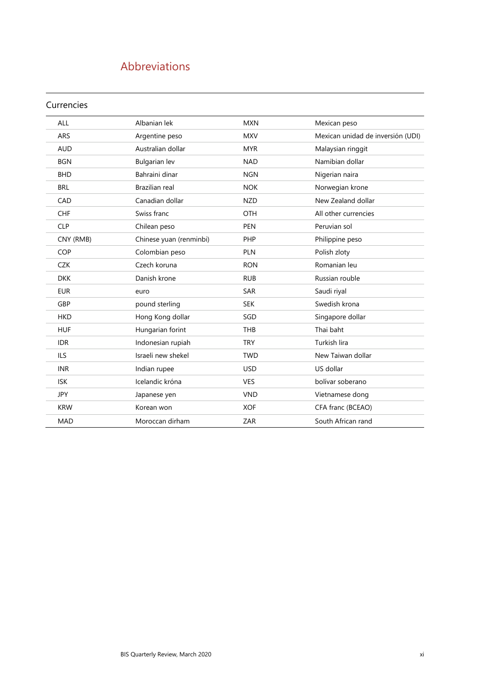# Abbreviations

#### Currencies

| <b>ALL</b> | Albanian lek            | <b>MXN</b> | Mexican peso                      |
|------------|-------------------------|------------|-----------------------------------|
| <b>ARS</b> | Argentine peso          | <b>MXV</b> | Mexican unidad de inversión (UDI) |
| <b>AUD</b> | Australian dollar       | <b>MYR</b> | Malaysian ringgit                 |
| <b>BGN</b> | <b>Bulgarian lev</b>    | <b>NAD</b> | Namibian dollar                   |
| <b>BHD</b> | Bahraini dinar          | <b>NGN</b> | Nigerian naira                    |
| <b>BRL</b> | Brazilian real          | <b>NOK</b> | Norwegian krone                   |
| CAD        | Canadian dollar         | <b>NZD</b> | New Zealand dollar                |
| <b>CHF</b> | Swiss franc             | <b>OTH</b> | All other currencies              |
| <b>CLP</b> | Chilean peso            | <b>PEN</b> | Peruvian sol                      |
| CNY (RMB)  | Chinese yuan (renminbi) | PHP        | Philippine peso                   |
| <b>COP</b> | Colombian peso          | <b>PLN</b> | Polish zloty                      |
| <b>CZK</b> | Czech koruna            | <b>RON</b> | Romanian leu                      |
| <b>DKK</b> | Danish krone            | <b>RUB</b> | Russian rouble                    |
| <b>EUR</b> | euro                    | <b>SAR</b> | Saudi riyal                       |
| GBP        | pound sterling          | <b>SEK</b> | Swedish krona                     |
| <b>HKD</b> | Hong Kong dollar        | SGD        | Singapore dollar                  |
| <b>HUF</b> | Hungarian forint        | THB        | Thai baht                         |
| <b>IDR</b> | Indonesian rupiah       | <b>TRY</b> | Turkish lira                      |
| <b>ILS</b> | Israeli new shekel      | <b>TWD</b> | New Taiwan dollar                 |
| <b>INR</b> | Indian rupee            | <b>USD</b> | US dollar                         |
| <b>ISK</b> | Icelandic króna         | <b>VES</b> | bolívar soberano                  |
| <b>JPY</b> | Japanese yen            | <b>VND</b> | Vietnamese dong                   |
| <b>KRW</b> | Korean won              | <b>XOF</b> | CFA franc (BCEAO)                 |
| <b>MAD</b> | Moroccan dirham         | ZAR        | South African rand                |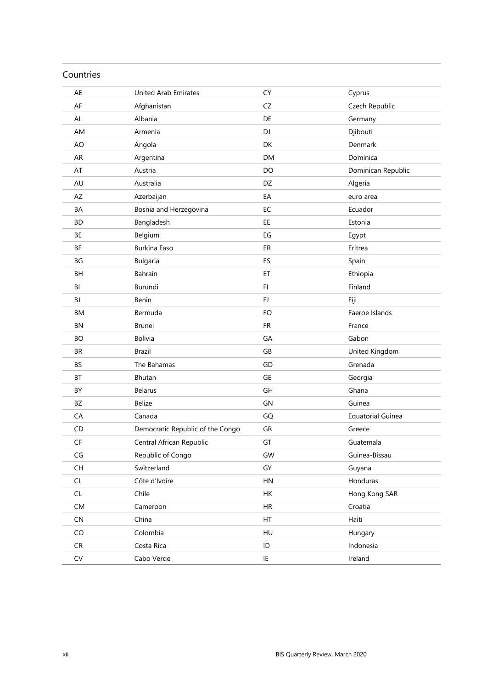| Countries                                |                                  |               |                          |
|------------------------------------------|----------------------------------|---------------|--------------------------|
| AE                                       | <b>United Arab Emirates</b>      | CY            | Cyprus                   |
| AF                                       | Afghanistan                      | CZ            | Czech Republic           |
| AL                                       | Albania                          | DE            | Germany                  |
| AM                                       | Armenia                          | DJ            | Djibouti                 |
| AO                                       | Angola                           | DK            | Denmark                  |
| AR                                       | Argentina                        | <b>DM</b>     | Dominica                 |
| AT                                       | Austria                          | DO            | Dominican Republic       |
| AU                                       | Australia                        | DZ            | Algeria                  |
| <b>AZ</b>                                | Azerbaijan                       | EA            | euro area                |
| BA                                       | Bosnia and Herzegovina           | EC            | Ecuador                  |
| <b>BD</b>                                | Bangladesh                       | EE            | Estonia                  |
| BE                                       | Belgium                          | EG            | Egypt                    |
| ΒF                                       | Burkina Faso                     | ER            | Eritrea                  |
| BG                                       | Bulgaria                         | ES            | Spain                    |
| <b>BH</b>                                | Bahrain                          | ET            | Ethiopia                 |
| BI                                       | Burundi                          | FI.           | Finland                  |
| BJ                                       | Benin                            | FJ            | Fiji                     |
| ВM                                       | Bermuda                          | FO            | Faeroe Islands           |
| BN                                       | <b>Brunei</b>                    | <b>FR</b>     | France                   |
| <b>BO</b>                                | <b>Bolivia</b>                   | GA            | Gabon                    |
| <b>BR</b>                                | <b>Brazil</b>                    | GB            | United Kingdom           |
| <b>BS</b>                                | The Bahamas                      | GD            | Grenada                  |
| BT                                       | Bhutan                           | GE            | Georgia                  |
| BY                                       | <b>Belarus</b>                   | GH            | Ghana                    |
| BZ                                       | <b>Belize</b>                    | GN            | Guinea                   |
| CA                                       | Canada                           | GQ            | <b>Equatorial Guinea</b> |
| CD                                       | Democratic Republic of the Congo | GR            | Greece                   |
| $\mathsf{C}\mathsf{F}$                   | Central African Republic         | GT            | Guatemala                |
| $\mathsf{CG}\xspace$                     | Republic of Congo                | GW            | Guinea-Bissau            |
| $\mathsf{CH}% \left( \mathcal{M}\right)$ | Switzerland                      | GY            | Guyana                   |
| CI                                       | Côte d'Ivoire                    | HN            | Honduras                 |
| CL                                       | Chile                            | HK            | Hong Kong SAR            |
| CM                                       | Cameroon                         | $\sf HR$      | Croatia                  |
| ${\sf CN}$                               | China                            | HT            | Haiti                    |
| CO                                       | Colombia                         | HU            | Hungary                  |
| CR                                       | Costa Rica                       | $\mathsf{ID}$ | Indonesia                |
| ${\sf CV}$                               | Cabo Verde                       | IE            | Ireland                  |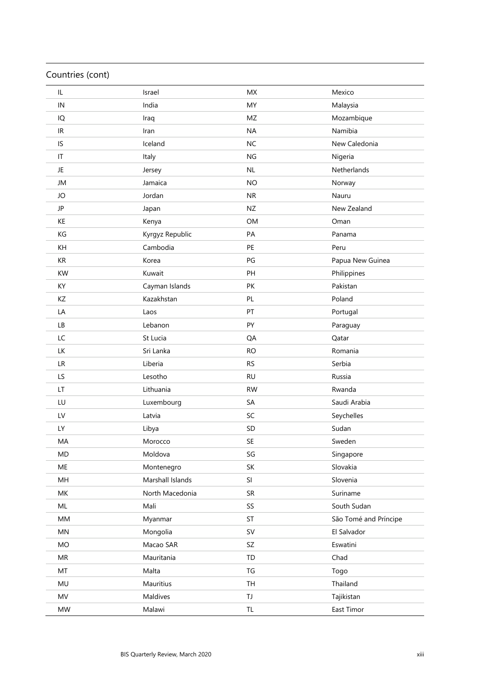### Countries (cont)

| IL                   | Israel           | <b>MX</b> | Mexico                |
|----------------------|------------------|-----------|-----------------------|
| IN                   | India            | MY        | Malaysia              |
| IQ                   | Iraq             | MZ        | Mozambique            |
| IR                   | Iran             | <b>NA</b> | Namibia               |
| IS                   | Iceland          | <b>NC</b> | New Caledonia         |
| IT                   | Italy            | <b>NG</b> | Nigeria               |
| JE                   | Jersey           | NL        | Netherlands           |
| JM                   | Jamaica          | <b>NO</b> | Norway                |
| JO                   | Jordan           | <b>NR</b> | Nauru                 |
| JP                   | Japan            | <b>NZ</b> | New Zealand           |
| KE                   | Kenya            | <b>OM</b> | Oman                  |
| KG                   | Kyrgyz Republic  | PA        | Panama                |
| KH                   | Cambodia         | PE        | Peru                  |
| $\mathsf{KR}\xspace$ | Korea            | PG        | Papua New Guinea      |
| <b>KW</b>            | Kuwait           | PH        | Philippines           |
| KY                   | Cayman Islands   | PK        | Pakistan              |
| ΚZ                   | Kazakhstan       | PL        | Poland                |
| LA                   | Laos             | PT        | Portugal              |
| LB                   | Lebanon          | PY        | Paraguay              |
| LC                   | St Lucia         | QA        | Qatar                 |
| LK                   | Sri Lanka        | <b>RO</b> | Romania               |
| <b>LR</b>            | Liberia          | <b>RS</b> | Serbia                |
| LS                   | Lesotho          | <b>RU</b> | Russia                |
| LT                   | Lithuania        | <b>RW</b> | Rwanda                |
| LU                   | Luxembourg       | SA        | Saudi Arabia          |
| LV                   | Latvia           | SC        | Seychelles            |
| LY                   | Libya            | SD        | Sudan                 |
| MA                   | Morocco          | SE        | Sweden                |
| MD                   | Moldova          | SG        | Singapore             |
| ME                   | Montenegro       | SK        | Slovakia              |
| MH                   | Marshall Islands | SI        | Slovenia              |
| MK                   | North Macedonia  | SR        | Suriname              |
| ML                   | Mali             | SS        | South Sudan           |
| $\mathsf{MM}$        | Myanmar          | ST        | São Tomé and Príncipe |
| MN                   | Mongolia         | <b>SV</b> | El Salvador           |
| MO                   | Macao SAR        | SZ        | Eswatini              |
| MR                   | Mauritania       | TD        | Chad                  |
| MT                   | Malta            | TG        | Togo                  |
| MU                   | Mauritius        | <b>TH</b> | Thailand              |
| <b>MV</b>            | Maldives         | TJ        | Tajikistan            |
| MW                   | Malawi           | TL        | East Timor            |